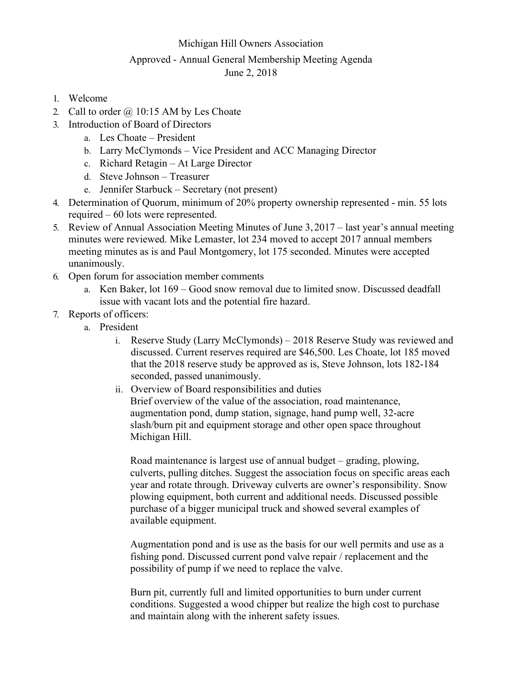### Michigan Hill Owners Association

# Approved - Annual General Membership Meeting Agenda

## June 2, 2018

- 1. Welcome
- 2. Call to order  $\omega$  10:15 AM by Les Choate
- 3. Introduction of Board of Directors
	- a. Les Choate President
	- b. Larry McClymonds Vice President and ACC Managing Director
	- c. Richard Retagin At Large Director
	- d. Steve Johnson Treasurer
	- e. Jennifer Starbuck Secretary (not present)
- 4. Determination of Quorum, minimum of 20% property ownership represented min. 55 lots required – 60 lots were represented.
- 5. Review of Annual Association Meeting Minutes of June 3, 2017 last year's annual meeting minutes were reviewed. Mike Lemaster, lot 234 moved to accept 2017 annual members meeting minutes as is and Paul Montgomery, lot 175 seconded. Minutes were accepted unanimously.
- 6. Open forum for association member comments
	- a. Ken Baker, lot 169 Good snow removal due to limited snow. Discussed deadfall issue with vacant lots and the potential fire hazard.
- 7. Reports of officers:
	- a. President
		- i. Reserve Study (Larry McClymonds) 2018 Reserve Study was reviewed and discussed. Current reserves required are \$46,500. Les Choate, lot 185 moved that the 2018 reserve study be approved as is, Steve Johnson, lots 182-184 seconded, passed unanimously.
		- ii. Overview of Board responsibilities and duties Brief overview of the value of the association, road maintenance, augmentation pond, dump station, signage, hand pump well, 32-acre slash/burn pit and equipment storage and other open space throughout Michigan Hill.

Road maintenance is largest use of annual budget – grading, plowing, culverts, pulling ditches. Suggest the association focus on specific areas each year and rotate through. Driveway culverts are owner's responsibility. Snow plowing equipment, both current and additional needs. Discussed possible purchase of a bigger municipal truck and showed several examples of available equipment.

Augmentation pond and is use as the basis for our well permits and use as a fishing pond. Discussed current pond valve repair / replacement and the possibility of pump if we need to replace the valve.

Burn pit, currently full and limited opportunities to burn under current conditions. Suggested a wood chipper but realize the high cost to purchase and maintain along with the inherent safety issues.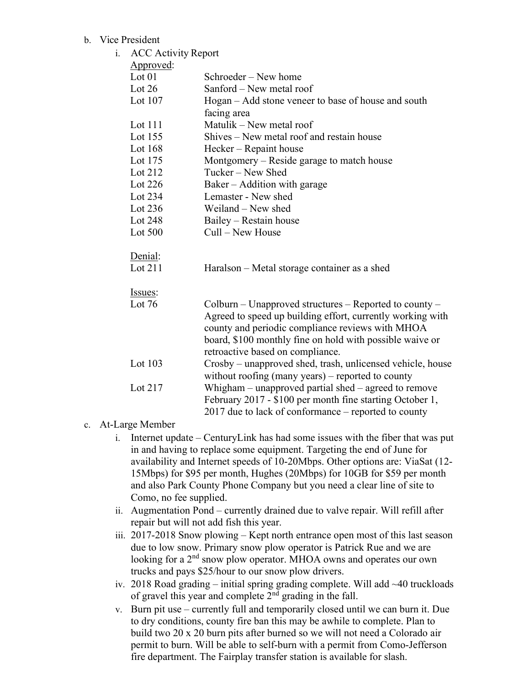## b. Vice President

| <b>ACC Activity Report</b> |                                                                                                                      |
|----------------------------|----------------------------------------------------------------------------------------------------------------------|
| Approved:                  |                                                                                                                      |
| Lot $01$                   | Schroeder – New home                                                                                                 |
| Lot $26$                   | Sanford – New metal roof                                                                                             |
| Lot $107$                  | Hogan – Add stone veneer to base of house and south                                                                  |
|                            | facing area                                                                                                          |
| Lot $111$                  | Matulik - New metal roof                                                                                             |
| Lot 155                    | Shives - New metal roof and restain house                                                                            |
| Lot $168$                  | Hecker – Repaint house                                                                                               |
| Lot 175                    | Montgomery - Reside garage to match house                                                                            |
| Lot $212$                  | Tucker - New Shed                                                                                                    |
| Lot $226$                  | Baker – Addition with garage                                                                                         |
| Lot 234                    | Lemaster - New shed                                                                                                  |
| Lot $236$                  | Weiland – New shed                                                                                                   |
| Lot 248                    | Bailey – Restain house                                                                                               |
| Lot 500                    | Cull – New House                                                                                                     |
| Denial:                    |                                                                                                                      |
| Lot 211                    | Haralson – Metal storage container as a shed                                                                         |
| Issues:                    |                                                                                                                      |
| Lot $76$                   | Colburn – Unapproved structures – Reported to county –<br>Agreed to speed up building effort, currently working with |
|                            | county and periodic compliance reviews with MHOA                                                                     |
|                            | board, \$100 monthly fine on hold with possible waive or                                                             |
|                            | retroactive based on compliance.                                                                                     |
|                            | Crosby – unapproved shed, trash, unlicensed vehicle, house                                                           |
|                            | without roofing (many years) – reported to county                                                                    |
| Lot 217                    | Whigham $-$ unapproved partial shed $-$ agreed to remove                                                             |
|                            | February 2017 - \$100 per month fine starting October 1,                                                             |
|                            | 2017 due to lack of conformance – reported to county                                                                 |
|                            | Lot 103                                                                                                              |

## c. At-Large Member

- i. Internet update CenturyLink has had some issues with the fiber that was put in and having to replace some equipment. Targeting the end of June for availability and Internet speeds of 10-20Mbps. Other options are: ViaSat (12- 15Mbps) for \$95 per month, Hughes (20Mbps) for 10GB for \$59 per month and also Park County Phone Company but you need a clear line of site to Como, no fee supplied.
- ii. Augmentation Pond currently drained due to valve repair. Will refill after repair but will not add fish this year.
- iii. 2017-2018 Snow plowing Kept north entrance open most of this last season due to low snow. Primary snow plow operator is Patrick Rue and we are looking for a 2<sup>nd</sup> snow plow operator. MHOA owns and operates our own trucks and pays \$25/hour to our snow plow drivers.
- iv. 2018 Road grading initial spring grading complete. Will add ~40 truckloads of gravel this year and complete  $2<sup>nd</sup>$  grading in the fall.
- v. Burn pit use currently full and temporarily closed until we can burn it. Due to dry conditions, county fire ban this may be awhile to complete. Plan to build two 20 x 20 burn pits after burned so we will not need a Colorado air permit to burn. Will be able to self-burn with a permit from Como-Jefferson fire department. The Fairplay transfer station is available for slash.